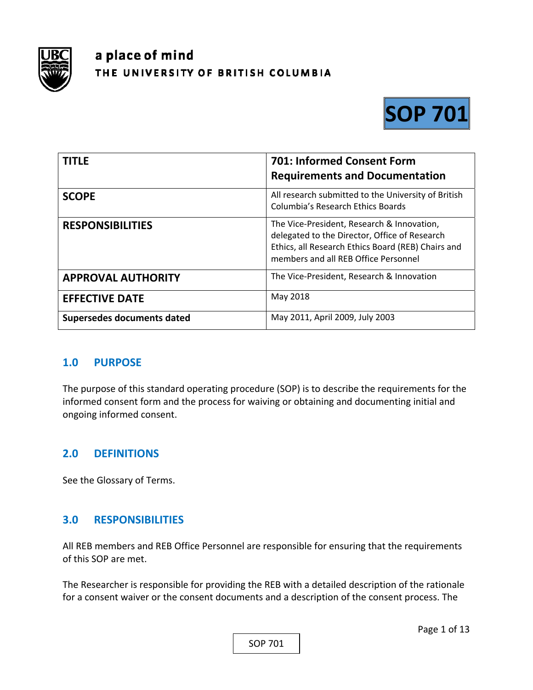

# a place of mind THE UNIVERSITY OF BRITISH COLUMBIA



| <b>TITLE</b>               | 701: Informed Consent Form<br><b>Requirements and Documentation</b>                                                                                                                       |
|----------------------------|-------------------------------------------------------------------------------------------------------------------------------------------------------------------------------------------|
| <b>SCOPE</b>               | All research submitted to the University of British<br><b>Columbia's Research Ethics Boards</b>                                                                                           |
| <b>RESPONSIBILITIES</b>    | The Vice-President, Research & Innovation,<br>delegated to the Director, Office of Research<br>Ethics, all Research Ethics Board (REB) Chairs and<br>members and all REB Office Personnel |
| <b>APPROVAL AUTHORITY</b>  | The Vice-President, Research & Innovation                                                                                                                                                 |
| <b>EFFECTIVE DATE</b>      | May 2018                                                                                                                                                                                  |
| Supersedes documents dated | May 2011, April 2009, July 2003                                                                                                                                                           |

#### **1.0 PURPOSE**

The purpose of this standard operating procedure (SOP) is to describe the requirements for the informed consent form and the process for waiving or obtaining and documenting initial and ongoing informed consent.

#### **2.0 DEFINITIONS**

See the Glossary of Terms.

#### **3.0 RESPONSIBILITIES**

All REB members and REB Office Personnel are responsible for ensuring that the requirements of this SOP are met.

The Researcher is responsible for providing the REB with a detailed description of the rationale for a consent waiver or the consent documents and a description of the consent process. The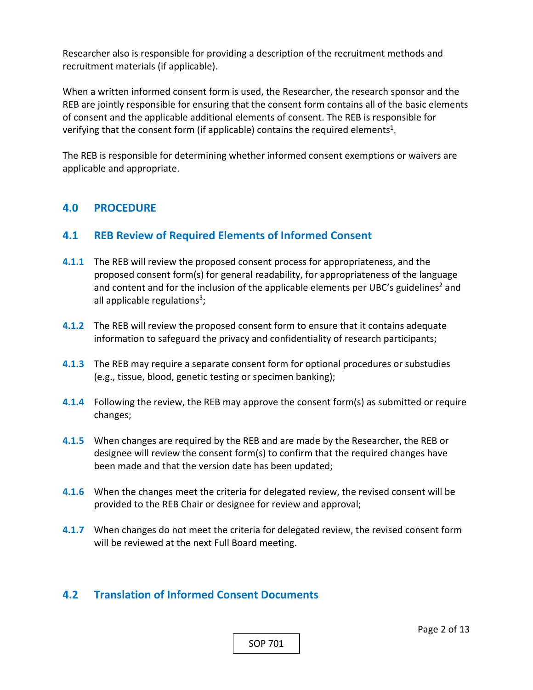Researcher also is responsible for providing a description of the recruitment methods and recruitment materials (if applicable).

When a written informed consent form is used, the Researcher, the research sponsor and the REB are jointly responsible for ensuring that the consent form contains all of the basic elements of consent and the applicable additional elements of consent. The REB is responsible for verifying that the consent form (if applicable) contains the required elements<sup>1</sup>.

The REB is responsible for determining whether informed consent exemptions or waivers are applicable and appropriate.

#### **4.0 PROCEDURE**

#### **4.1 REB Review of Required Elements of Informed Consent**

- **4.1.1** The REB will review the proposed consent process for appropriateness, and the proposed consent form(s) for general readability, for appropriateness of the language and content and for the inclusion of the applicable elements per UBC's guidelines<sup>2</sup> and all applicable regulations<sup>3</sup>;
- **4.1.2** The REB will review the proposed consent form to ensure that it contains adequate information to safeguard the privacy and confidentiality of research participants;
- **4.1.3**  The REB may require a separate consent form for optional procedures or substudies (e.g., tissue, blood, genetic testing or specimen banking);
- **4.1.4**  Following the review, the REB may approve the consent form(s) as submitted or require changes;
- **4.1.5**  When changes are required by the REB and are made by the Researcher, the REB or designee will review the consent form(s) to confirm that the required changes have been made and that the version date has been updated;
- **4.1.6**  When the changes meet the criteria for delegated review, the revised consent will be provided to the REB Chair or designee for review and approval;
- **4.1.7**  When changes do not meet the criteria for delegated review, the revised consent form will be reviewed at the next Full Board meeting.

#### **4.2 Translation of Informed Consent Documents**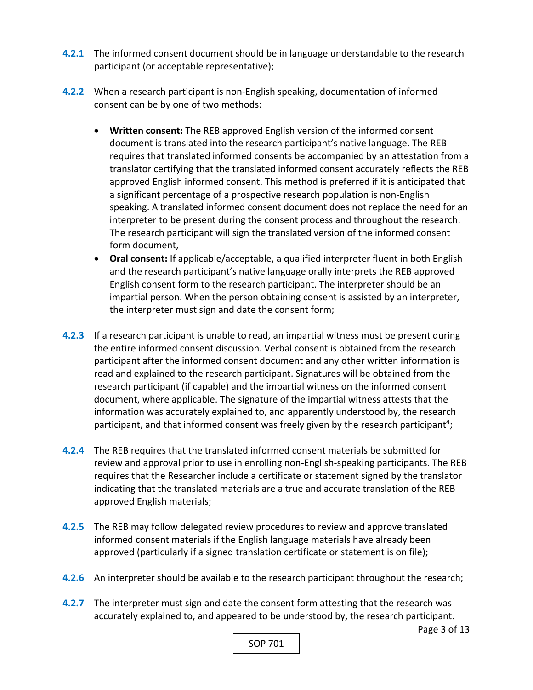- **4.2.1** The informed consent document should be in language understandable to the research participant (or acceptable representative);
- **4.2.2** When a research participant is non‐English speaking, documentation of informed consent can be by one of two methods:
	- **Written consent:** The REB approved English version of the informed consent document is translated into the research participant's native language. The REB requires that translated informed consents be accompanied by an attestation from a translator certifying that the translated informed consent accurately reflects the REB approved English informed consent. This method is preferred if it is anticipated that a significant percentage of a prospective research population is non‐English speaking. A translated informed consent document does not replace the need for an interpreter to be present during the consent process and throughout the research. The research participant will sign the translated version of the informed consent form document,
	- **Oral consent:** If applicable/acceptable, a qualified interpreter fluent in both English and the research participant's native language orally interprets the REB approved English consent form to the research participant. The interpreter should be an impartial person. When the person obtaining consent is assisted by an interpreter, the interpreter must sign and date the consent form;
- **4.2.3**  If a research participant is unable to read, an impartial witness must be present during the entire informed consent discussion. Verbal consent is obtained from the research participant after the informed consent document and any other written information is read and explained to the research participant. Signatures will be obtained from the research participant (if capable) and the impartial witness on the informed consent document, where applicable. The signature of the impartial witness attests that the information was accurately explained to, and apparently understood by, the research participant, and that informed consent was freely given by the research participant<sup>4</sup>;
- **4.2.4**  The REB requires that the translated informed consent materials be submitted for review and approval prior to use in enrolling non‐English‐speaking participants. The REB requires that the Researcher include a certificate or statement signed by the translator indicating that the translated materials are a true and accurate translation of the REB approved English materials;
- **4.2.5**  The REB may follow delegated review procedures to review and approve translated informed consent materials if the English language materials have already been approved (particularly if a signed translation certificate or statement is on file);
- **4.2.6**  An interpreter should be available to the research participant throughout the research;
- **4.2.7** The interpreter must sign and date the consent form attesting that the research was accurately explained to, and appeared to be understood by, the research participant.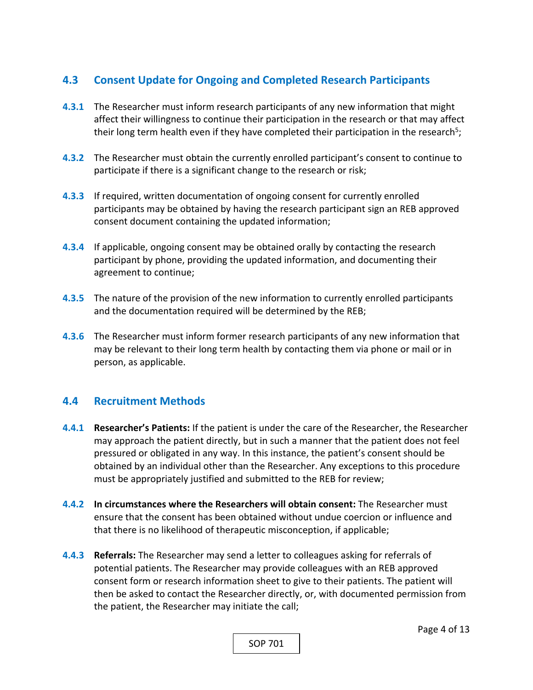# **4.3 Consent Update for Ongoing and Completed Research Participants**

- **4.3.1** The Researcher must inform research participants of any new information that might affect their willingness to continue their participation in the research or that may affect their long term health even if they have completed their participation in the research<sup>5</sup>;
- **4.3.2** The Researcher must obtain the currently enrolled participant's consent to continue to participate if there is a significant change to the research or risk;
- **4.3.3**  If required, written documentation of ongoing consent for currently enrolled participants may be obtained by having the research participant sign an REB approved consent document containing the updated information;
- **4.3.4**  If applicable, ongoing consent may be obtained orally by contacting the research participant by phone, providing the updated information, and documenting their agreement to continue;
- **4.3.5**  The nature of the provision of the new information to currently enrolled participants and the documentation required will be determined by the REB;
- **4.3.6**  The Researcher must inform former research participants of any new information that may be relevant to their long term health by contacting them via phone or mail or in person, as applicable.

# **4.4 Recruitment Methods**

- **4.4.1 Researcher's Patients:** If the patient is under the care of the Researcher, the Researcher may approach the patient directly, but in such a manner that the patient does not feel pressured or obligated in any way. In this instance, the patient's consent should be obtained by an individual other than the Researcher. Any exceptions to this procedure must be appropriately justified and submitted to the REB for review;
- **4.4.2 In circumstances where the Researchers will obtain consent:** The Researcher must ensure that the consent has been obtained without undue coercion or influence and that there is no likelihood of therapeutic misconception, if applicable;
- **4.4.3 Referrals:** The Researcher may send a letter to colleagues asking for referrals of potential patients. The Researcher may provide colleagues with an REB approved consent form or research information sheet to give to their patients. The patient will then be asked to contact the Researcher directly, or, with documented permission from the patient, the Researcher may initiate the call;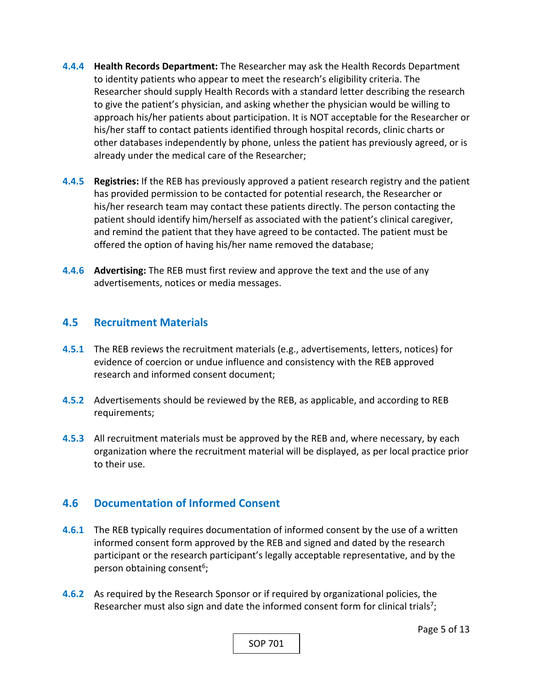- **4.4.4 Health Records Department:** The Researcher may ask the Health Records Department to identity patients who appear to meet the research's eligibility criteria. The Researcher should supply Health Records with a standard letter describing the research to give the patient's physician, and asking whether the physician would be willing to approach his/her patients about participation. It is NOT acceptable for the Researcher or his/her staff to contact patients identified through hospital records, clinic charts or other databases independently by phone, unless the patient has previously agreed, or is already under the medical care of the Researcher;
- **4.4.5 Registries:** If the REB has previously approved a patient research registry and the patient has provided permission to be contacted for potential research, the Researcher or his/her research team may contact these patients directly. The person contacting the patient should identify him/herself as associated with the patient's clinical caregiver, and remind the patient that they have agreed to be contacted. The patient must be offered the option of having his/her name removed the database;
- **4.4.6 Advertising:** The REB must first review and approve the text and the use of any advertisements, notices or media messages.

#### **4.5 Recruitment Materials**

- **4.5.1** The REB reviews the recruitment materials (e.g., advertisements, letters, notices) for evidence of coercion or undue influence and consistency with the REB approved research and informed consent document;
- **4.5.2** Advertisements should be reviewed by the REB, as applicable, and according to REB requirements;
- **4.5.3**  All recruitment materials must be approved by the REB and, where necessary, by each organization where the recruitment material will be displayed, as per local practice prior to their use.

#### **4.6 Documentation of Informed Consent**

- **4.6.1** The REB typically requires documentation of informed consent by the use of a written informed consent form approved by the REB and signed and dated by the research participant or the research participant's legally acceptable representative, and by the person obtaining consent<sup>6</sup>;
- **4.6.2** As required by the Research Sponsor or if required by organizational policies, the Researcher must also sign and date the informed consent form for clinical trials<sup>7</sup>;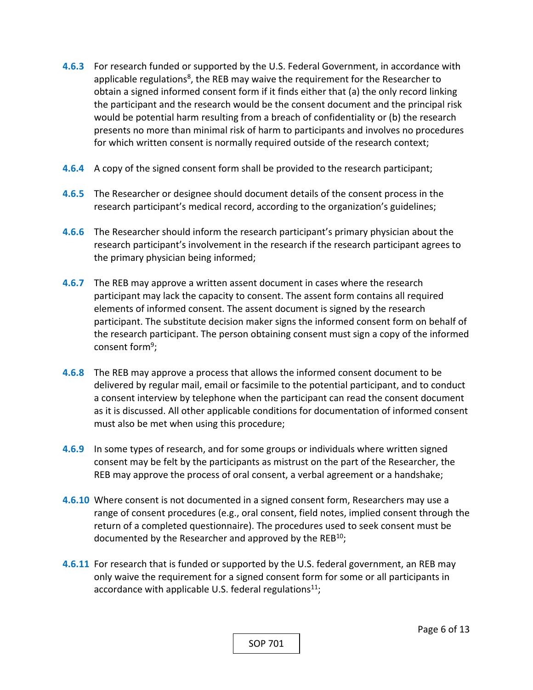- **4.6.3**  For research funded or supported by the U.S. Federal Government, in accordance with applicable regulations<sup>8</sup>, the REB may waive the requirement for the Researcher to obtain a signed informed consent form if it finds either that (a) the only record linking the participant and the research would be the consent document and the principal risk would be potential harm resulting from a breach of confidentiality or (b) the research presents no more than minimal risk of harm to participants and involves no procedures for which written consent is normally required outside of the research context;
- **4.6.4** A copy of the signed consent form shall be provided to the research participant;
- **4.6.5**  The Researcher or designee should document details of the consent process in the research participant's medical record, according to the organization's guidelines;
- **4.6.6**  The Researcher should inform the research participant's primary physician about the research participant's involvement in the research if the research participant agrees to the primary physician being informed;
- **4.6.7**  The REB may approve a written assent document in cases where the research participant may lack the capacity to consent. The assent form contains all required elements of informed consent. The assent document is signed by the research participant. The substitute decision maker signs the informed consent form on behalf of the research participant. The person obtaining consent must sign a copy of the informed consent form9;
- **4.6.8**  The REB may approve a process that allows the informed consent document to be delivered by regular mail, email or facsimile to the potential participant, and to conduct a consent interview by telephone when the participant can read the consent document as it is discussed. All other applicable conditions for documentation of informed consent must also be met when using this procedure;
- **4.6.9**  In some types of research, and for some groups or individuals where written signed consent may be felt by the participants as mistrust on the part of the Researcher, the REB may approve the process of oral consent, a verbal agreement or a handshake;
- **4.6.10**  Where consent is not documented in a signed consent form, Researchers may use a range of consent procedures (e.g., oral consent, field notes, implied consent through the return of a completed questionnaire). The procedures used to seek consent must be documented by the Researcher and approved by the  $REB^{10}$ ;
- **4.6.11**  For research that is funded or supported by the U.S. federal government, an REB may only waive the requirement for a signed consent form for some or all participants in accordance with applicable U.S. federal regulations<sup>11</sup>;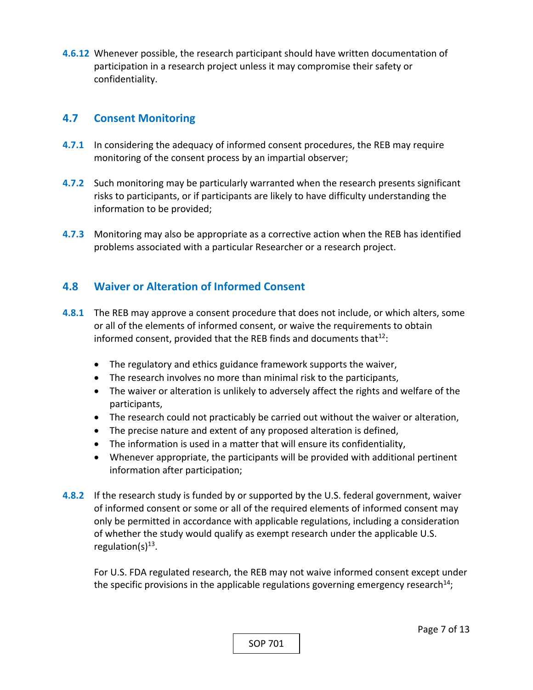**4.6.12**  Whenever possible, the research participant should have written documentation of participation in a research project unless it may compromise their safety or confidentiality.

#### **4.7 Consent Monitoring**

- **4.7.1** In considering the adequacy of informed consent procedures, the REB may require monitoring of the consent process by an impartial observer;
- **4.7.2** Such monitoring may be particularly warranted when the research presents significant risks to participants, or if participants are likely to have difficulty understanding the information to be provided;
- **4.7.3**  Monitoring may also be appropriate as a corrective action when the REB has identified problems associated with a particular Researcher or a research project.

## **4.8 Waiver or Alteration of Informed Consent**

- **4.8.1** The REB may approve a consent procedure that does not include, or which alters, some or all of the elements of informed consent, or waive the requirements to obtain informed consent, provided that the REB finds and documents that  $12$ :
	- The regulatory and ethics guidance framework supports the waiver,
	- The research involves no more than minimal risk to the participants,
	- The waiver or alteration is unlikely to adversely affect the rights and welfare of the participants,
	- The research could not practicably be carried out without the waiver or alteration,
	- The precise nature and extent of any proposed alteration is defined,
	- The information is used in a matter that will ensure its confidentiality,
	- Whenever appropriate, the participants will be provided with additional pertinent information after participation;
- **4.8.2**  If the research study is funded by or supported by the U.S. federal government, waiver of informed consent or some or all of the required elements of informed consent may only be permitted in accordance with applicable regulations, including a consideration of whether the study would qualify as exempt research under the applicable U.S. regulation( $s$ )<sup>13</sup>.

For U.S. FDA regulated research, the REB may not waive informed consent except under the specific provisions in the applicable regulations governing emergency research<sup>14</sup>;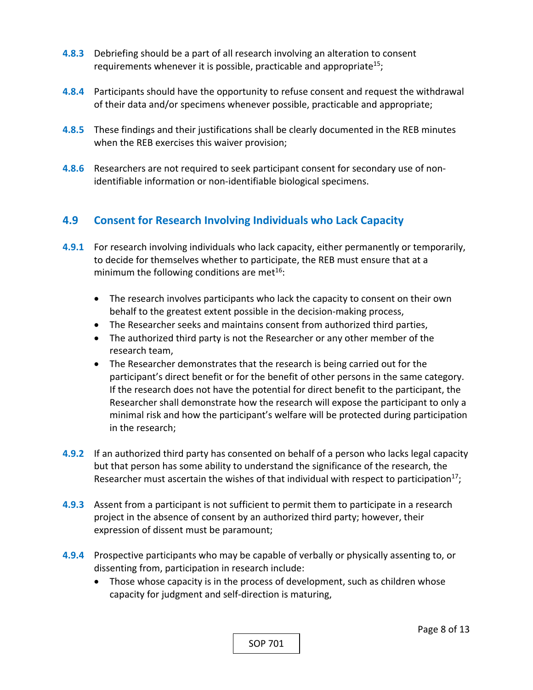- **4.8.3** Debriefing should be a part of all research involving an alteration to consent requirements whenever it is possible, practicable and appropriate<sup>15</sup>;
- **4.8.4**  Participants should have the opportunity to refuse consent and request the withdrawal of their data and/or specimens whenever possible, practicable and appropriate;
- **4.8.5**  These findings and their justifications shall be clearly documented in the REB minutes when the REB exercises this waiver provision;
- **4.8.6**  Researchers are not required to seek participant consent for secondary use of non‐ identifiable information or non‐identifiable biological specimens.

## **4.9 Consent for Research Involving Individuals who Lack Capacity**

- **4.9.1** For research involving individuals who lack capacity, either permanently or temporarily, to decide for themselves whether to participate, the REB must ensure that at a minimum the following conditions are met $16$ :
	- The research involves participants who lack the capacity to consent on their own behalf to the greatest extent possible in the decision‐making process,
	- The Researcher seeks and maintains consent from authorized third parties,
	- The authorized third party is not the Researcher or any other member of the research team,
	- The Researcher demonstrates that the research is being carried out for the participant's direct benefit or for the benefit of other persons in the same category. If the research does not have the potential for direct benefit to the participant, the Researcher shall demonstrate how the research will expose the participant to only a minimal risk and how the participant's welfare will be protected during participation in the research;
- **4.9.2** If an authorized third party has consented on behalf of a person who lacks legal capacity but that person has some ability to understand the significance of the research, the Researcher must ascertain the wishes of that individual with respect to participation<sup>17</sup>;
- **4.9.3**  Assent from a participant is not sufficient to permit them to participate in a research project in the absence of consent by an authorized third party; however, their expression of dissent must be paramount;
- **4.9.4**  Prospective participants who may be capable of verbally or physically assenting to, or dissenting from, participation in research include:
	- Those whose capacity is in the process of development, such as children whose capacity for judgment and self‐direction is maturing,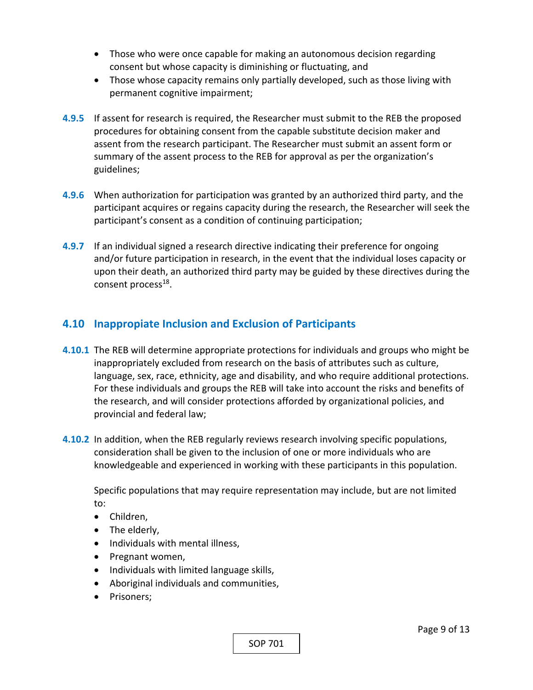- Those who were once capable for making an autonomous decision regarding consent but whose capacity is diminishing or fluctuating, and
- Those whose capacity remains only partially developed, such as those living with permanent cognitive impairment;
- **4.9.5**  If assent for research is required, the Researcher must submit to the REB the proposed procedures for obtaining consent from the capable substitute decision maker and assent from the research participant. The Researcher must submit an assent form or summary of the assent process to the REB for approval as per the organization's guidelines;
- **4.9.6**  When authorization for participation was granted by an authorized third party, and the participant acquires or regains capacity during the research, the Researcher will seek the participant's consent as a condition of continuing participation;
- **4.9.7**  If an individual signed a research directive indicating their preference for ongoing and/or future participation in research, in the event that the individual loses capacity or upon their death, an authorized third party may be guided by these directives during the consent process<sup>18</sup>.

## **4.10 Inappropiate Inclusion and Exclusion of Participants**

- **4.10.1** The REB will determine appropriate protections for individuals and groups who might be inappropriately excluded from research on the basis of attributes such as culture, language, sex, race, ethnicity, age and disability, and who require additional protections. For these individuals and groups the REB will take into account the risks and benefits of the research, and will consider protections afforded by organizational policies, and provincial and federal law;
- **4.10.2** In addition, when the REB regularly reviews research involving specific populations, consideration shall be given to the inclusion of one or more individuals who are knowledgeable and experienced in working with these participants in this population.

Specific populations that may require representation may include, but are not limited to:

- Children,
- The elderly,
- Individuals with mental illness,
- Pregnant women,
- Individuals with limited language skills,
- Aboriginal individuals and communities,
- Prisoners;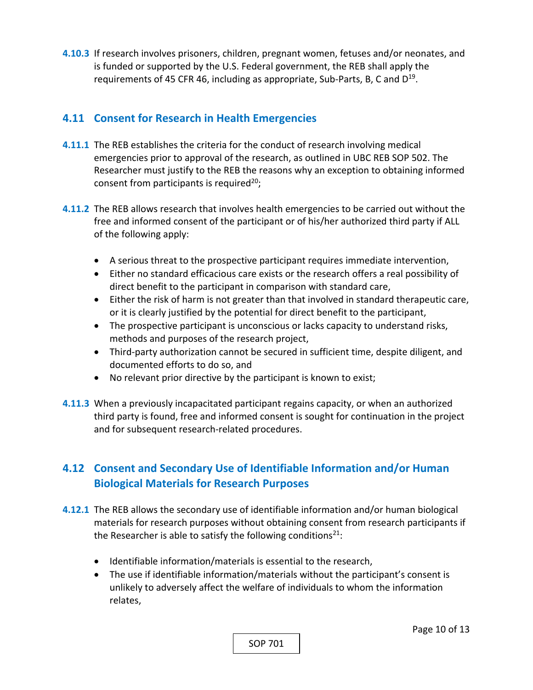**4.10.3**  If research involves prisoners, children, pregnant women, fetuses and/or neonates, and is funded or supported by the U.S. Federal government, the REB shall apply the requirements of 45 CFR 46, including as appropriate, Sub-Parts, B, C and  $D^{19}$ .

## **4.11 Consent for Research in Health Emergencies**

- **4.11.1** The REB establishes the criteria for the conduct of research involving medical emergencies prior to approval of the research, as outlined in UBC REB SOP 502. The Researcher must justify to the REB the reasons why an exception to obtaining informed consent from participants is required<sup>20</sup>;
- **4.11.2** The REB allows research that involves health emergencies to be carried out without the free and informed consent of the participant or of his/her authorized third party if ALL of the following apply:
	- A serious threat to the prospective participant requires immediate intervention,
	- Either no standard efficacious care exists or the research offers a real possibility of direct benefit to the participant in comparison with standard care,
	- Either the risk of harm is not greater than that involved in standard therapeutic care, or it is clearly justified by the potential for direct benefit to the participant,
	- The prospective participant is unconscious or lacks capacity to understand risks, methods and purposes of the research project,
	- Third-party authorization cannot be secured in sufficient time, despite diligent, and documented efforts to do so, and
	- No relevant prior directive by the participant is known to exist;
- **4.11.3**  When a previously incapacitated participant regains capacity, or when an authorized third party is found, free and informed consent is sought for continuation in the project and for subsequent research‐related procedures.

# **4.12 Consent and Secondary Use of Identifiable Information and/or Human Biological Materials for Research Purposes**

- **4.12.1** The REB allows the secondary use of identifiable information and/or human biological materials for research purposes without obtaining consent from research participants if the Researcher is able to satisfy the following conditions<sup>21</sup>:
	- Identifiable information/materials is essential to the research,
	- The use if identifiable information/materials without the participant's consent is unlikely to adversely affect the welfare of individuals to whom the information relates,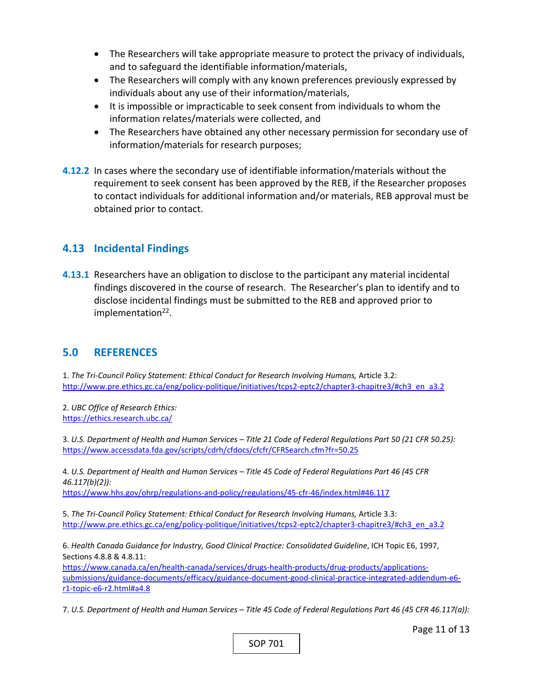- The Researchers will take appropriate measure to protect the privacy of individuals, and to safeguard the identifiable information/materials,
- The Researchers will comply with any known preferences previously expressed by individuals about any use of their information/materials,
- It is impossible or impracticable to seek consent from individuals to whom the information relates/materials were collected, and
- The Researchers have obtained any other necessary permission for secondary use of information/materials for research purposes;
- **4.12.2** In cases where the secondary use of identifiable information/materials without the requirement to seek consent has been approved by the REB, if the Researcher proposes to contact individuals for additional information and/or materials, REB approval must be obtained prior to contact.

#### **4.13 Incidental Findings**

**4.13.1** Researchers have an obligation to disclose to the participant any material incidental findings discovered in the course of research. The Researcher's plan to identify and to disclose incidental findings must be submitted to the REB and approved prior to implementation<sup>22</sup>.

#### **5.0 REFERENCES**

1. *The Tri‐Council Policy Statement: Ethical Conduct for Research Involving Humans,* Article 3.2: http://www.pre.ethics.gc.ca/eng/policy-politique/initiatives/tcps2-eptc2/chapter3-chapitre3/#ch3\_en\_a3.2

2. *UBC Office of Research Ethics:*  https://ethics.research.ubc.ca/

3. *U.S. Department of Health and Human Services – Title 21 Code of Federal Regulations Part 50 (21 CFR 50.25):*  https://www.accessdata.fda.gov/scripts/cdrh/cfdocs/cfcfr/CFRSearch.cfm?fr=50.25

4. *U.S. Department of Health and Human Services – Title 45 Code of Federal Regulations Part 46 (45 CFR 46.117(b)(2)):* 

https://www.hhs.gov/ohrp/regulations‐and‐policy/regulations/45‐cfr‐46/index.html#46.117

5. *The Tri‐Council Policy Statement: Ethical Conduct for Research Involving Humans,* Article 3.3: http://www.pre.ethics.gc.ca/eng/policy-politique/initiatives/tcps2-eptc2/chapter3-chapitre3/#ch3\_en\_a3.2

6. *Health Canada Guidance for Industry, Good Clinical Practice: Consolidated Guideline*, ICH Topic E6, 1997, Sections 4.8.8 & 4.8.11:

https://www.canada.ca/en/health-canada/services/drugs-health-products/drug-products/applicationssubmissions/guidance-documents/efficacy/guidance-document-good-clinical-practice-integrated-addendum-e6r1‐topic‐e6‐r2.html#a4.8

7. *U.S. Department of Health and Human Services – Title 45 Code of Federal Regulations Part 46 (45 CFR 46.117(a)):* 

Page 11 of 13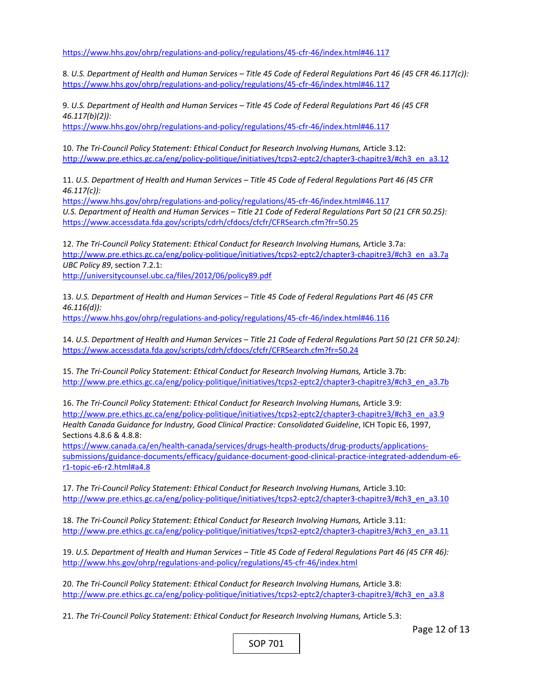https://www.hhs.gov/ohrp/regulations‐and‐policy/regulations/45‐cfr‐46/index.html#46.117

8. *U.S. Department of Health and Human Services – Title 45 Code of Federal Regulations Part 46 (45 CFR 46.117(c)):*  https://www.hhs.gov/ohrp/regulations‐and‐policy/regulations/45‐cfr‐46/index.html#46.117

9. *U.S. Department of Health and Human Services – Title 45 Code of Federal Regulations Part 46 (45 CFR 46.117(b)(2)):*  https://www.hhs.gov/ohrp/regulations‐and‐policy/regulations/45‐cfr‐46/index.html#46.117

10. The Tri-Council Policy Statement: Ethical Conduct for Research Involving Humans, Article 3.12: http://www.pre.ethics.gc.ca/eng/policy-politique/initiatives/tcps2-eptc2/chapter3-chapitre3/#ch3\_en\_a3.12

11. *U.S. Department of Health and Human Services – Title 45 Code of Federal Regulations Part 46 (45 CFR 46.117(c)):* 

https://www.hhs.gov/ohrp/regulations‐and‐policy/regulations/45‐cfr‐46/index.html#46.117 *U.S. Department of Health and Human Services – Title 21 Code of Federal Regulations Part 50 (21 CFR 50.25):*  https://www.accessdata.fda.gov/scripts/cdrh/cfdocs/cfcfr/CFRSearch.cfm?fr=50.25

12. *The Tri‐Council Policy Statement: Ethical Conduct for Research Involving Humans,* Article 3.7a: http://www.pre.ethics.gc.ca/eng/policy-politique/initiatives/tcps2-eptc2/chapter3-chapitre3/#ch3\_en\_a3.7a *UBC Policy 89*, section 7.2.1:

http://universitycounsel.ubc.ca/files/2012/06/policy89.pdf

13. *U.S. Department of Health and Human Services – Title 45 Code of Federal Regulations Part 46 (45 CFR 46.116(d)):* 

https://www.hhs.gov/ohrp/regulations‐and‐policy/regulations/45‐cfr‐46/index.html#46.116

14. *U.S. Department of Health and Human Services – Title 21 Code of Federal Regulations Part 50 (21 CFR 50.24):*  https://www.accessdata.fda.gov/scripts/cdrh/cfdocs/cfcfr/CFRSearch.cfm?fr=50.24

15. *The Tri‐Council Policy Statement: Ethical Conduct for Research Involving Humans,* Article 3.7b: http://www.pre.ethics.gc.ca/eng/policy-politique/initiatives/tcps2-eptc2/chapter3-chapitre3/#ch3\_en\_a3.7b

16. *The Tri‐Council Policy Statement: Ethical Conduct for Research Involving Humans,* Article 3.9: http://www.pre.ethics.gc.ca/eng/policy-politique/initiatives/tcps2-eptc2/chapter3-chapitre3/#ch3\_en\_a3.9 *Health Canada Guidance for Industry, Good Clinical Practice: Consolidated Guideline*, ICH Topic E6, 1997, Sections 4.8.6 & 4.8.8:

https://www.canada.ca/en/health-canada/services/drugs-health-products/drug-products/applicationssubmissions/guidance‐documents/efficacy/guidance‐document‐good‐clinical‐practice‐integrated‐addendum‐e6‐ r1‐topic‐e6‐r2.html#a4.8

17. The Tri-Council Policy Statement: Ethical Conduct for Research Involving Humans, Article 3.10: http://www.pre.ethics.gc.ca/eng/policy-politique/initiatives/tcps2-eptc2/chapter3-chapitre3/#ch3\_en\_a3.10

18. *The Tri‐Council Policy Statement: Ethical Conduct for Research Involving Humans,* Article 3.11: http://www.pre.ethics.gc.ca/eng/policy-politique/initiatives/tcps2-eptc2/chapter3-chapitre3/#ch3\_en\_a3.11

19. *U.S. Department of Health and Human Services – Title 45 Code of Federal Regulations Part 46 (45 CFR 46):*  http://www.hhs.gov/ohrp/regulations‐and‐policy/regulations/45‐cfr‐46/index.html

20. *The Tri‐Council Policy Statement: Ethical Conduct for Research Involving Humans,* Article 3.8: http://www.pre.ethics.gc.ca/eng/policy-politique/initiatives/tcps2-eptc2/chapter3-chapitre3/#ch3\_en\_a3.8

21. *The Tri‐Council Policy Statement: Ethical Conduct for Research Involving Humans,* Article 5.3: